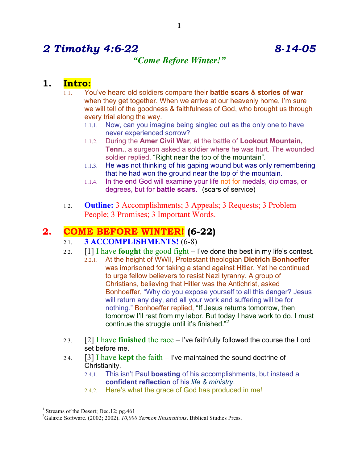# *2 Timothy 4:6-22 8-14-05*

## *"Come Before Winter!"*

### **1. Intro:**

- 1.1. You've heard old soldiers compare their **battle scars** & **stories of war** when they get together. When we arrive at our heavenly home, I'm sure we will tell of the goodness & faithfulness of God, who brought us through every trial along the way.
	- 1.1.1. Now, can you imagine being singled out as the only one to have never experienced sorrow?
	- 1.1.2. During the **Amer Civil War**, at the battle of **Lookout Mountain, Tenn.**, a surgeon asked a soldier where he was hurt. The wounded soldier replied, "Right near the top of the mountain".
	- 1.1.3. He was not thinking of his gaping wound but was only remembering that he had won the ground near the top of the mountain.
	- 1.1.4. In the end God will examine your life not for medals, diplomas, or degrees, but for **battle scars**. <sup>1</sup> (scars of service)
- 1.2. **Outline:** 3 Accomplishments; 3 Appeals; 3 Requests; 3 Problem People; 3 Promises; 3 Important Words.

# **2. COME BEFORE WINTER! (6-22)**

- 2.1. **3 ACCOMPLISHMENTS!** (6-8)
- 2.2. [1] I have **fought** the good fight I've done the best in my life's contest.
	- 2.2.1. At the height of WWII, Protestant theologian **Dietrich Bonhoeffer** was imprisoned for taking a stand against Hitler. Yet he continued to urge fellow believers to resist Nazi tyranny. A group of Christians, believing that Hitler was the Antichrist, asked Bonhoeffer, "Why do you expose yourself to all this danger? Jesus will return any day, and all your work and suffering will be for nothing." Bonhoeffer replied, "If Jesus returns tomorrow, then tomorrow I'll rest from my labor. But today I have work to do. I must continue the struggle until it's finished."<sup>2</sup>
- 2.3. [2] I have **finished** the race I've faithfully followed the course the Lord set before me.
- 2.4. [3] I have **kept** the faith I've maintained the sound doctrine of Christianity.
	- 2.4.1. This isn't Paul **boasting** of his accomplishments, but instead a **confident reflection** of his *life & ministry*.
	- 2.4.2. Here's what the grace of God has produced in me!

<sup>&</sup>lt;sup>1</sup> Streams of the Desert; Dec.12; pg.461

<sup>2</sup> Galaxie Software. (2002; 2002). *10,000 Sermon Illustrations*. Biblical Studies Press.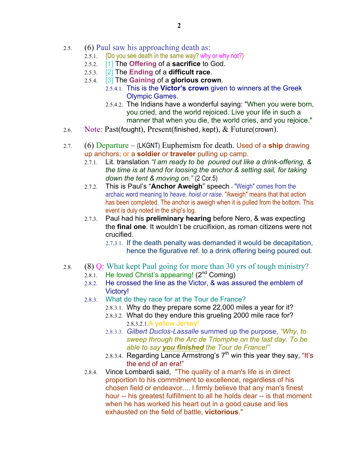- 2.5. (6) Paul saw his approaching death as:
	- 2.5.1. {Do you see death in the same way? why or why not?}
	- 2.5.2. [1] The **Offering** of a **sacrifice** to God.
	- 2.5.3. [2] The **Ending** of a **difficult race**.
	- 2.5.4. [3] The **Gaining** of a **glorious crown**.
		- 2.5.4.1. This is the **Victor's crown** given to winners at the Greek Olympic Games.
		- 2.5.4.2. The Indians have a wonderful saying: "When you were born, you cried, and the world rejoiced. Live your life in such a manner that when you die, the world cries, and you rejoice."
- 2.6. Note: Past(fought), Present(finished, kept), & Future(crown).
- 2.7. (6) Departure (LKGNT) Euphemism for death. Used of a **ship** drawing up anchors; or a **soldier** or **traveler** pulling up camp.
	- 2.7.1. Lit. translation *"I am ready to be poured out like a drink-offering, & the time is at hand for loosing the anchor & setting sail, for taking down the tent & moving on."* (2 Cor.5)
	- 2.7.2. This is Paul's "**Anchor Aweigh**" speech "Weigh" comes from the archaic word meaning to *heave, hoist or raise*. "Aweigh" means that that action has been completed. The anchor is aweigh when it is pulled from the bottom. This event is duly noted in the ship's log.
	- 2.7.3. Paul had his **preliminary hearing** before Nero, & was expecting the **final one**. It wouldn't be crucifixion, as roman citizens were not crucified.
		- 2.7.3.1. If the death penalty was demanded it would be decapitation, hence the figurative ref. to a drink offering being poured out.
- 2.8. (8) Q: What kept Paul going for more than 30 yrs of tough ministry?
	- 2.8.1. He loved Christ's appearing! (2<sup>nd</sup> Coming)
	- 2.8.2. He crossed the line as the Victor, & was assured the emblem of Victory!
	- 2.8.3. What do they race for at the Tour de France?
		- 2.8.3.1. Why do they prepare some 22,000 miles a year for it?
		- 2.8.3.2. What do they endure this grueling 2000 mile race for? 2.8.3.2.1.A yellow Jersey!
		- 2.8.3.3. *Gilbert Duclos-Lassalle* summed up the purpose, *"Why, to sweep through the Arc de Triomphe on the last day. To be able to say you finished the Tour de France!"*
		- 2.8.3.4. Regarding Lance Armstrong's  $7<sup>th</sup>$  win this year they say, "It's the end of an era!"
	- 2.8.4. Vince Lombardi said, "The quality of a man's life is in direct proportion to his commitment to excellence, regardless of his chosen field or endeavor.... I firmly believe that any man's finest hour -- his greatest fulfillment to all he holds dear -- is that moment when he has worked his heart out in a good cause and lies exhausted on the field of battle, **victorious**."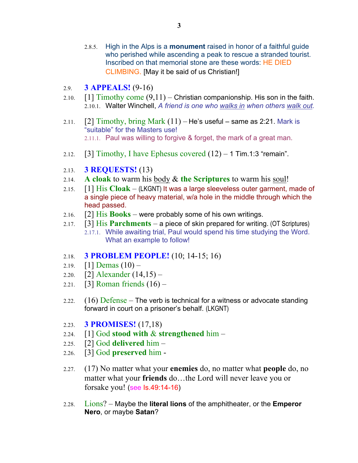- 2.8.5. High in the Alps is a **monument** raised in honor of a faithful guide who perished while ascending a peak to rescue a stranded tourist. Inscribed on that memorial stone are these words: HE DIED CLIMBING. [May it be said of us Christian!]
- 2.9. **3 APPEALS!** (9-16)
- 2.10.  $\left[1\right]$  Timothy come  $(9,11)$  Christian companionship. His son in the faith. 2.10.1. Walter Winchell, *A friend is one who walks in when others walk out.*
- 2.11.  $[2]$  Timothy, bring Mark  $(11)$  He's useful same as 2:21. Mark is "suitable" for the Masters use! 2.11.1. Paul was willing to forgive & forget, the mark of a great man.
- 2.12. [3] Timothy, I have Ephesus covered  $(12) 1$  Tim.1:3 "remain".
- 2.13. **3 REQUESTS!** (13)
- 2.14. **A cloak** to warm his body & **the Scriptures** to warm his soul!
- 2.15. [1] His **Cloak** (LKGNT) It was a large sleeveless outer garment, made of a single piece of heavy material, w/a hole in the middle through which the head passed.
- 2.16. [2] His **Books** were probably some of his own writings.
- 2.17. [3] His **Parchments** a piece of skin prepared for writing. (OT Scriptures) 2.17.1. While awaiting trial, Paul would spend his time studying the Word. What an example to follow!
- 2.18. **3 PROBLEM PEOPLE!** (10; 14-15; 16)
- 2.19.  $[1]$  Demas  $(10)$  –
- 2.20. [2] Alexander (14,15) –
- 2.21. **[3] Roman friends**  $(16)$
- 2.22.  $(16)$  Defense The verb is technical for a witness or advocate standing forward in court on a prisoner's behalf. (LKGNT)
- 2.23. **3 PROMISES!** (17,18)
- 2.24. [1] God **stood with** & **strengthened** him –
- 2.25. [2] God **delivered** him –
- 2.26. [3] God **preserved** him -
- 2.27. (17) No matter what your **enemies** do, no matter what **people** do, no matter what your **friends** do…the Lord will never leave you or forsake you! (see Is.49:14-16)
- 2.28. Lions? Maybe the **literal lions** of the amphitheater, or the **Emperor Nero**, or maybe **Satan**?